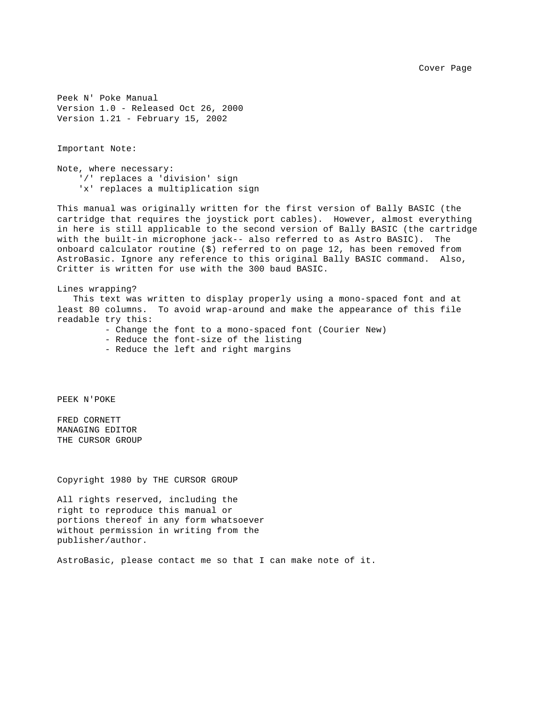Cover Page

Peek N' Poke Manual Version 1.0 - Released Oct 26, 2000 Version 1.21 - February 15, 2002

Important Note:

Note, where necessary: '/' replaces a 'division' sign 'x' replaces a multiplication sign

This manual was originally written for the first version of Bally BASIC (the cartridge that requires the joystick port cables). However, almost everything in here is still applicable to the second version of Bally BASIC (the cartridge with the built-in microphone jack-- also referred to as Astro BASIC). The onboard calculator routine (\$) referred to on page 12, has been removed from AstroBasic. Ignore any reference to this original Bally BASIC command. Also, Critter is written for use with the 300 baud BASIC.

Lines wrapping? This text was written to display properly using a mono-spaced font and at least 80 columns. To avoid wrap-around and make the appearance of this file readable try this:

- Change the font to a mono-spaced font (Courier New)

- Reduce the font-size of the listing

- Reduce the left and right margins

PEEK N'POKE

FRED CORNETT MANAGING EDITOR THE CURSOR GROUP

Copyright 1980 by THE CURSOR GROUP

All rights reserved, including the right to reproduce this manual or portions thereof in any form whatsoever without permission in writing from the publisher/author.

AstroBasic, please contact me so that I can make note of it.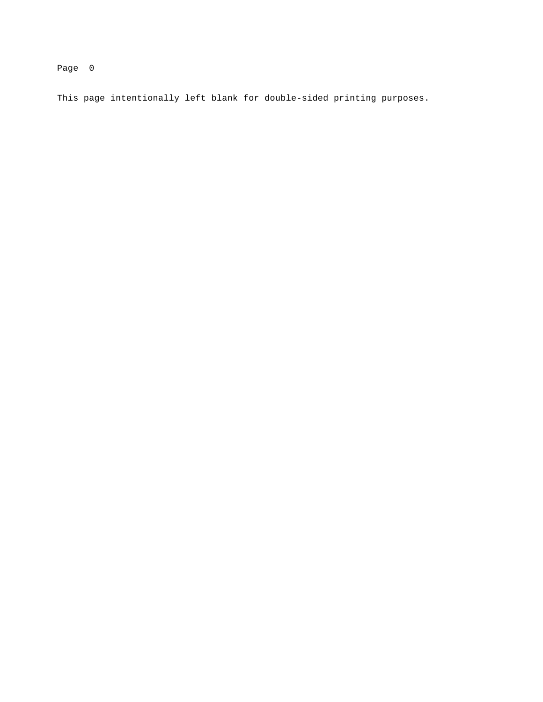This page intentionally left blank for double-sided printing purposes.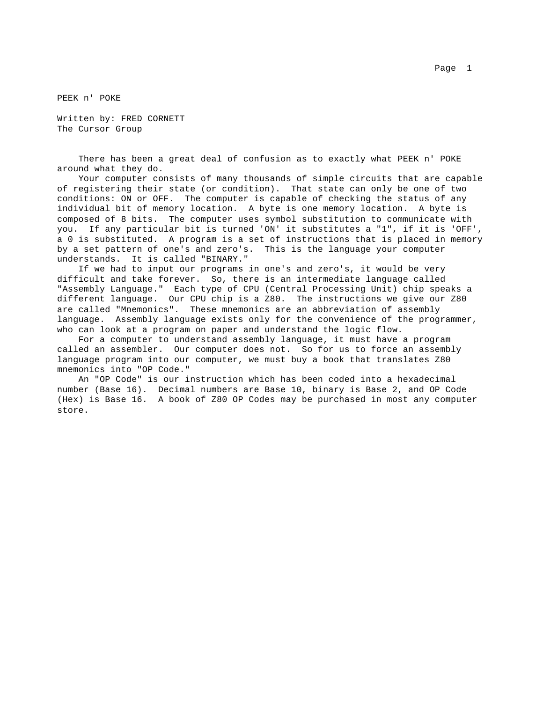PEEK n' POKE

Written by: FRED CORNETT The Cursor Group

 There has been a great deal of confusion as to exactly what PEEK n' POKE around what they do.

 Your computer consists of many thousands of simple circuits that are capable of registering their state (or condition). That state can only be one of two conditions: ON or OFF. The computer is capable of checking the status of any individual bit of memory location. A byte is one memory location. A byte is composed of 8 bits. The computer uses symbol substitution to communicate with you. If any particular bit is turned 'ON' it substitutes a "1", if it is 'OFF', a 0 is substituted. A program is a set of instructions that is placed in memory by a set pattern of one's and zero's. This is the language your computer understands. It is called "BINARY."

 If we had to input our programs in one's and zero's, it would be very difficult and take forever. So, there is an intermediate language called "Assembly Language." Each type of CPU (Central Processing Unit) chip speaks a different language. Our CPU chip is a Z80. The instructions we give our Z80 are called "Mnemonics". These mnemonics are an abbreviation of assembly language. Assembly language exists only for the convenience of the programmer, who can look at a program on paper and understand the logic flow.

 For a computer to understand assembly language, it must have a program called an assembler. Our computer does not. So for us to force an assembly language program into our computer, we must buy a book that translates Z80 mnemonics into "OP Code."

 An "OP Code" is our instruction which has been coded into a hexadecimal number (Base 16). Decimal numbers are Base 10, binary is Base 2, and OP Code (Hex) is Base 16. A book of Z80 OP Codes may be purchased in most any computer store.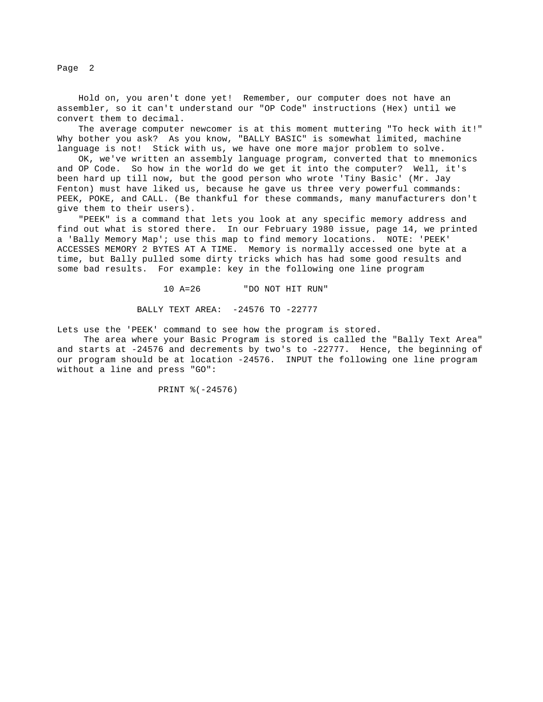Hold on, you aren't done yet! Remember, our computer does not have an assembler, so it can't understand our "OP Code" instructions (Hex) until we convert them to decimal.

The average computer newcomer is at this moment muttering "To heck with it!" Why bother you ask? As you know, "BALLY BASIC" is somewhat limited, machine language is not! Stick with us, we have one more major problem to solve.

 OK, we've written an assembly language program, converted that to mnemonics and OP Code. So how in the world do we get it into the computer? Well, it's been hard up till now, but the good person who wrote 'Tiny Basic' (Mr. Jay Fenton) must have liked us, because he gave us three very powerful commands: PEEK, POKE, and CALL. (Be thankful for these commands, many manufacturers don't give them to their users).

 "PEEK" is a command that lets you look at any specific memory address and find out what is stored there. In our February 1980 issue, page 14, we printed a 'Bally Memory Map'; use this map to find memory locations. NOTE: 'PEEK' ACCESSES MEMORY 2 BYTES AT A TIME. Memory is normally accessed one byte at a time, but Bally pulled some dirty tricks which has had some good results and some bad results. For example: key in the following one line program

10 A=26 "DO NOT HIT RUN"

BALLY TEXT AREA: -24576 TO -22777

Lets use the 'PEEK' command to see how the program is stored.

 The area where your Basic Program is stored is called the "Bally Text Area" and starts at -24576 and decrements by two's to -22777. Hence, the beginning of our program should be at location -24576. INPUT the following one line program without a line and press "GO":

PRINT %(-24576)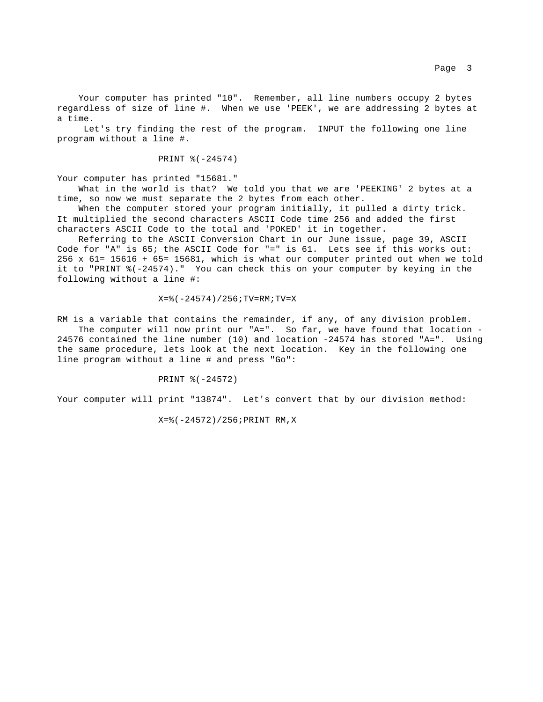Your computer has printed "10". Remember, all line numbers occupy 2 bytes regardless of size of line #. When we use 'PEEK', we are addressing 2 bytes at a time.

 Let's try finding the rest of the program. INPUT the following one line program without a line #.

PRINT %(-24574)

Your computer has printed "15681."

 What in the world is that? We told you that we are 'PEEKING' 2 bytes at a time, so now we must separate the 2 bytes from each other.

 When the computer stored your program initially, it pulled a dirty trick. It multiplied the second characters ASCII Code time 256 and added the first characters ASCII Code to the total and 'POKED' it in together.

 Referring to the ASCII Conversion Chart in our June issue, page 39, ASCII Code for "A" is 65; the ASCII Code for "=" is 61. Lets see if this works out: 256 x 61= 15616 + 65= 15681, which is what our computer printed out when we told it to "PRINT %(-24574)." You can check this on your computer by keying in the following without a line #:

#### $X=$  (-24574) / 256; TV=RM; TV=X

RM is a variable that contains the remainder, if any, of any division problem. The computer will now print our "A=". So far, we have found that location -

24576 contained the line number (10) and location -24574 has stored "A=". Using the same procedure, lets look at the next location. Key in the following one line program without a line # and press "Go":

PRINT %(-24572)

Your computer will print "13874". Let's convert that by our division method:

X=%(-24572)/256;PRINT RM,X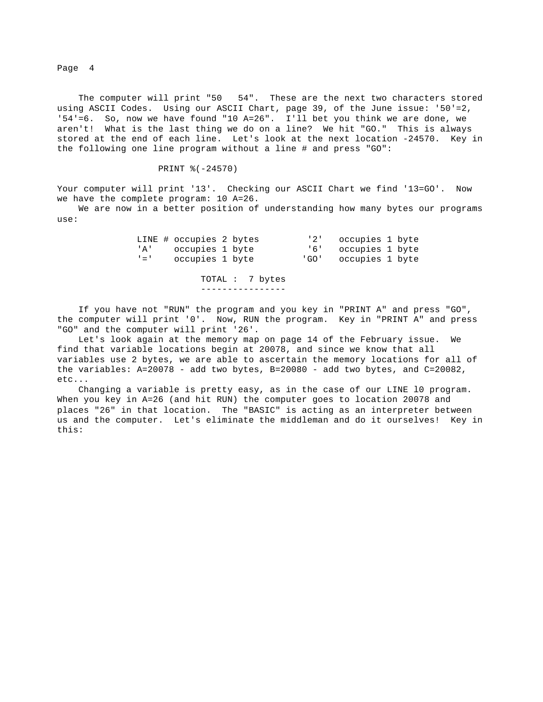The computer will print "50 54". These are the next two characters stored using ASCII Codes. Using our ASCII Chart, page 39, of the June issue: '50'=2, '54'=6. So, now we have found "10 A=26". I'll bet you think we are done, we aren't! What is the last thing we do on a line? We hit "GO." This is always stored at the end of each line. Let's look at the next location -24570. Key in the following one line program without a line # and press "GO":

PRINT %(-24570)

Your computer will print '13'. Checking our ASCII Chart we find '13=GO'. Now we have the complete program: 10 A=26.

 We are now in a better position of understanding how many bytes our programs use:

|  | LINE # occupies 2 bytes |  | '2' occupies 1 byte  |  |
|--|-------------------------|--|----------------------|--|
|  | 'A' occupies 1 byte     |  | '6' occupies 1 byte  |  |
|  | '=' occupies 1 byte     |  | 'GO' occupies 1 byte |  |

 TOTAL : 7 bytes ----------------

 If you have not "RUN" the program and you key in "PRINT A" and press "GO", the computer will print '0'. Now, RUN the program. Key in "PRINT A" and press "GO" and the computer will print '26'.

 Let's look again at the memory map on page 14 of the February issue. We find that variable locations begin at 20078, and since we know that all variables use 2 bytes, we are able to ascertain the memory locations for all of the variables: A=20078 - add two bytes, B=20080 - add two bytes, and C=20082, etc...

Changing a variable is pretty easy, as in the case of our LINE 10 program. When you key in A=26 (and hit RUN) the computer goes to location 20078 and places "26" in that location. The "BASIC" is acting as an interpreter between us and the computer. Let's eliminate the middleman and do it ourselves! Key in this: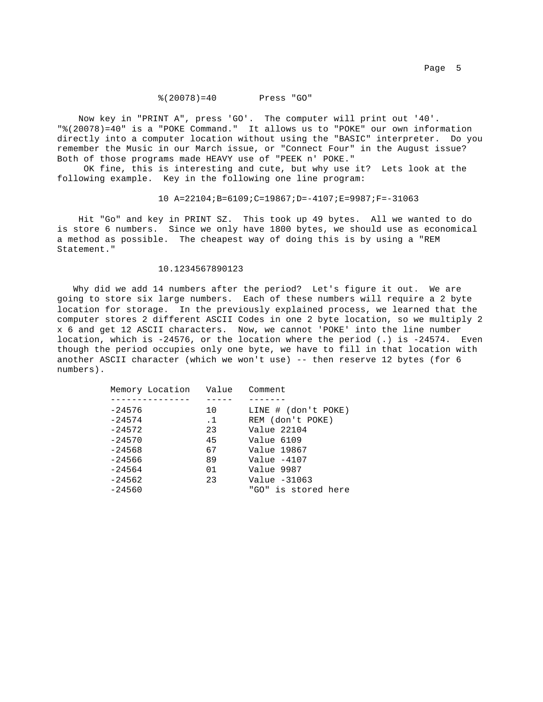## %(20078)=40 Press "GO"

 Now key in "PRINT A", press 'GO'. The computer will print out '40'. "%(20078)=40" is a "POKE Command." It allows us to "POKE" our own information directly into a computer location without using the "BASIC" interpreter. Do you remember the Music in our March issue, or "Connect Four" in the August issue? Both of those programs made HEAVY use of "PEEK n' POKE."

 OK fine, this is interesting and cute, but why use it? Lets look at the following example. Key in the following one line program:

10 A=22104;B=6109;C=19867;D=-4107;E=9987;F=-31063

 Hit "Go" and key in PRINT SZ. This took up 49 bytes. All we wanted to do is store 6 numbers. Since we only have 1800 bytes, we should use as economical a method as possible. The cheapest way of doing this is by using a "REM Statement."

## 10.1234567890123

 Why did we add 14 numbers after the period? Let's figure it out. We are going to store six large numbers. Each of these numbers will require a 2 byte location for storage. In the previously explained process, we learned that the computer stores 2 different ASCII Codes in one 2 byte location, so we multiply 2 x 6 and get 12 ASCII characters. Now, we cannot 'POKE' into the line number location, which is -24576, or the location where the period (.) is -24574. Even though the period occupies only one byte, we have to fill in that location with another ASCII character (which we won't use) -- then reserve 12 bytes (for 6 numbers).

| Memory Location | Value     | Comment             |
|-----------------|-----------|---------------------|
|                 |           |                     |
| $-24576$        | 10        | LINE # (don't POKE) |
| $-24574$        | $\cdot$ 1 | REM (don't POKE)    |
| $-24572$        | 23        | Value 22104         |
| $-24570$        | 45        | Value 6109          |
| $-24568$        | 67        | Value 19867         |
| $-24566$        | 89        | Value $-4107$       |
| $-24564$        | 01        | Value 9987          |
| $-24562$        | 23        | Value $-31063$      |
| $-24560$        |           | "GO" is stored here |
|                 |           |                     |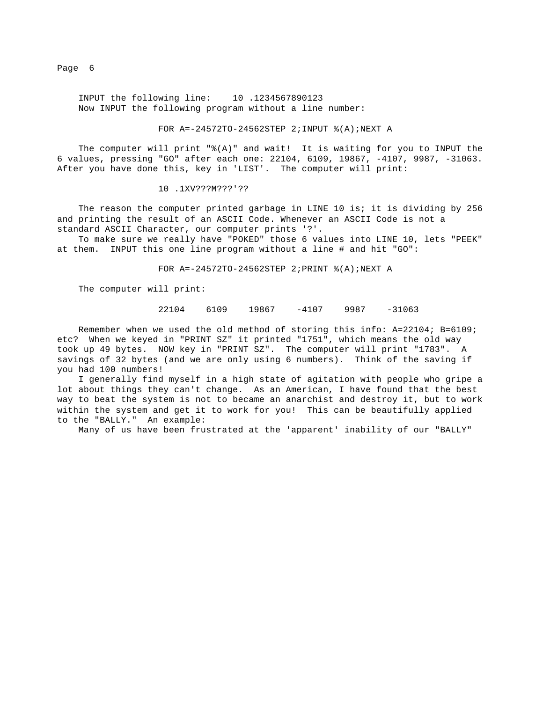INPUT the following line: 10 .1234567890123 Now INPUT the following program without a line number:

### FOR A=-24572TO-24562STEP 2;INPUT %(A);NEXT A

The computer will print  $\sqrt[q]{(A)}$  and wait! It is waiting for you to INPUT the 6 values, pressing "GO" after each one: 22104, 6109, 19867, -4107, 9987, -31063. After you have done this, key in 'LIST'. The computer will print:

### 10 .1XV???M???'??

The reason the computer printed garbage in LINE 10 is; it is dividing by 256 and printing the result of an ASCII Code. Whenever an ASCII Code is not a standard ASCII Character, our computer prints '?'.

 To make sure we really have "POKED" those 6 values into LINE 10, lets "PEEK" at them. INPUT this one line program without a line # and hit "GO":

FOR A=-24572TO-24562STEP 2;PRINT %(A);NEXT A

The computer will print:

## 22104 6109 19867 -4107 9987 -31063

 Remember when we used the old method of storing this info: A=22104; B=6109; etc? When we keyed in "PRINT SZ" it printed "1751", which means the old way took up 49 bytes. NOW key in "PRINT SZ". The computer will print "1783". A savings of 32 bytes (and we are only using 6 numbers). Think of the saving if you had 100 numbers!

 I generally find myself in a high state of agitation with people who gripe a lot about things they can't change. As an American, I have found that the best way to beat the system is not to became an anarchist and destroy it, but to work within the system and get it to work for you! This can be beautifully applied to the "BALLY." An example:

Many of us have been frustrated at the 'apparent' inability of our "BALLY"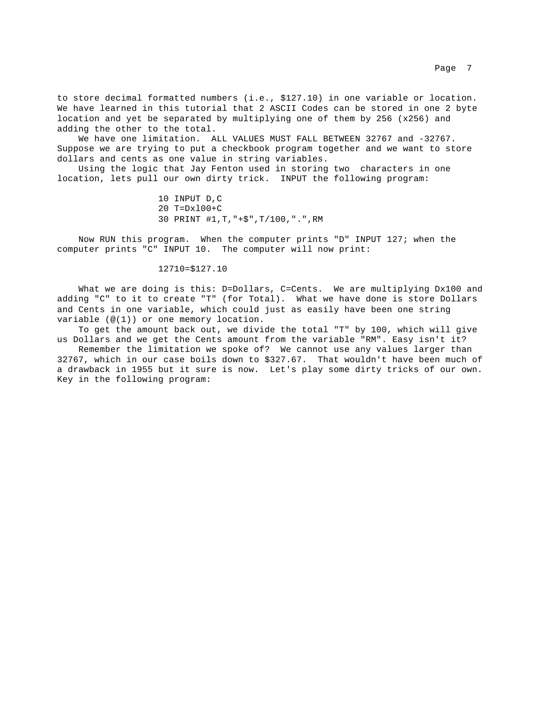to store decimal formatted numbers (i.e., \$127.10) in one variable or location. We have learned in this tutorial that 2 ASCII Codes can be stored in one 2 byte location and yet be separated by multiplying one of them by 256 (x256) and adding the other to the total.

We have one limitation. ALL VALUES MUST FALL BETWEEN 32767 and -32767. Suppose we are trying to put a checkbook program together and we want to store dollars and cents as one value in string variables.

 Using the logic that Jay Fenton used in storing two characters in one location, lets pull our own dirty trick. INPUT the following program:

> 10 INPUT D,C 20 T=Dxl00+C 30 PRINT #1,T,"+\$",T/100,".",RM

 Now RUN this program. When the computer prints "D" INPUT 127; when the computer prints "C" INPUT 10. The computer will now print:

## 12710=\$127.10

What we are doing is this: D=Dollars, C=Cents. We are multiplying Dx100 and adding "C" to it to create "T" (for Total). What we have done is store Dollars and Cents in one variable, which could just as easily have been one string variable (@(1)) or one memory location.

 To get the amount back out, we divide the total "T" by 100, which will give us Dollars and we get the Cents amount from the variable "RM". Easy isn't it?

 Remember the limitation we spoke of? We cannot use any values larger than 32767, which in our case boils down to \$327.67. That wouldn't have been much of a drawback in 1955 but it sure is now. Let's play some dirty tricks of our own. Key in the following program: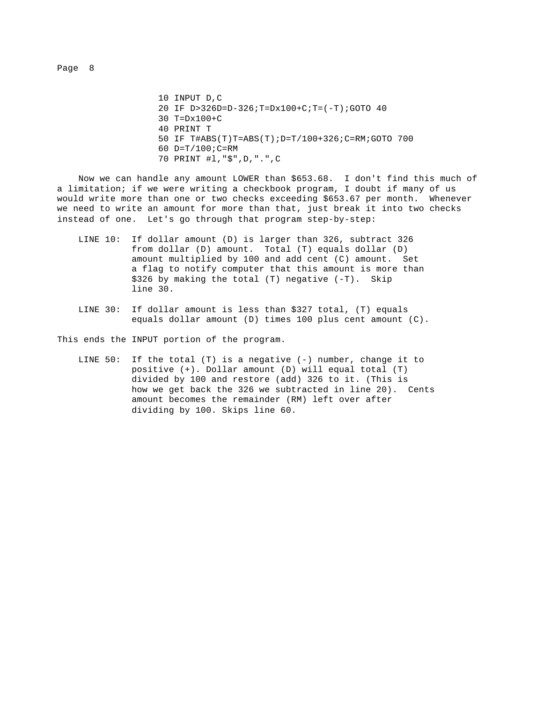10 INPUT D,C 20 IF D>326D=D-326;T=Dx100+C;T=(-T);GOTO 40 30 T=Dx100+C 40 PRINT T 50 IF T#ABS(T)T=ABS(T);D=T/100+326;C=RM;GOTO 700 60 D=T/100;C=RM 70 PRINT #l,"\$",D,".",C

 Now we can handle any amount LOWER than \$653.68. I don't find this much of a limitation; if we were writing a checkbook program, I doubt if many of us would write more than one or two checks exceeding \$653.67 per month. Whenever we need to write an amount for more than that, just break it into two checks instead of one. Let's go through that program step-by-step:

- LINE 10: If dollar amount (D) is larger than 326, subtract 326 from dollar (D) amount. Total (T) equals dollar (D) amount multiplied by 100 and add cent (C) amount. Set a flag to notify computer that this amount is more than \$326 by making the total (T) negative (-T). Skip line 30.
- LINE 30: If dollar amount is less than \$327 total, (T) equals equals dollar amount (D) times 100 plus cent amount (C).

This ends the INPUT portion of the program.

 LINE 50: If the total (T) is a negative (-) number, change it to positive (+). Dollar amount (D) will equal total (T) divided by 100 and restore (add) 326 to it. (This is how we get back the 326 we subtracted in line 20). Cents amount becomes the remainder (RM) left over after dividing by 100. Skips line 60.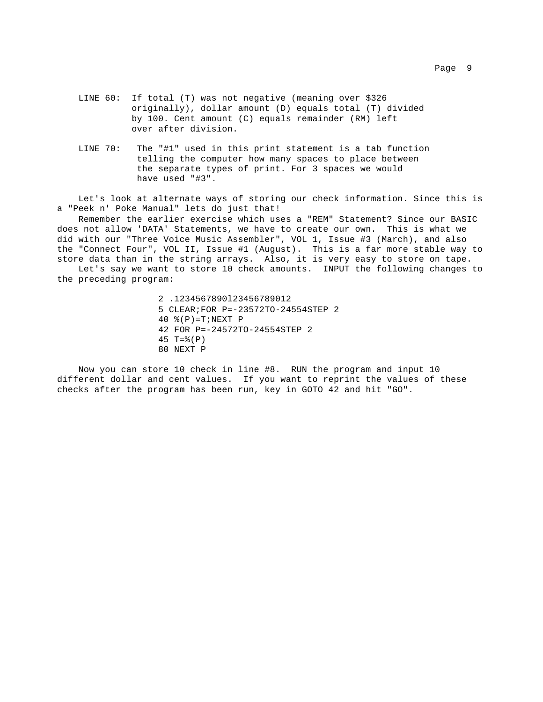- LINE 60: If total (T) was not negative (meaning over \$326 originally), dollar amount (D) equals total (T) divided by 100. Cent amount (C) equals remainder (RM) left over after division.
- LINE 70: The "#1" used in this print statement is a tab function telling the computer how many spaces to place between the separate types of print. For 3 spaces we would have used "#3".

 Let's look at alternate ways of storing our check information. Since this is a "Peek n' Poke Manual" lets do just that!

 Remember the earlier exercise which uses a "REM" Statement? Since our BASIC does not allow 'DATA' Statements, we have to create our own. This is what we did with our "Three Voice Music Assembler", VOL 1, Issue #3 (March), and also the "Connect Four", VOL II, Issue #1 (August). This is a far more stable way to store data than in the string arrays. Also, it is very easy to store on tape.

 Let's say we want to store 10 check amounts. INPUT the following changes to the preceding program:

> 2 .1234567890l23456789012 5 CLEAR;FOR P=-23572TO-24554STEP 2 40  $$(P) = T; NEXT P$  42 FOR P=-24572TO-24554STEP 2  $45 T = (P)$ 80 NEXT P

 Now you can store 10 check in line #8. RUN the program and input 10 different dollar and cent values. If you want to reprint the values of these checks after the program has been run, key in GOTO 42 and hit "GO".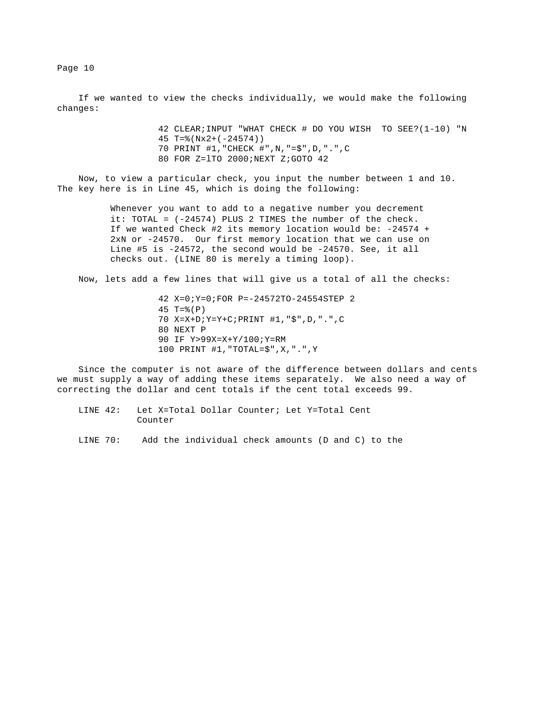If we wanted to view the checks individually, we would make the following changes:

> 42 CLEAR;INPUT "WHAT CHECK # DO YOU WISH TO SEE?(1-10) "N 45 T=%(Nx2+(-24574)) 70 PRINT #1,"CHECK #",N,"=\$",D,".",C 80 FOR Z=lTO 2000;NEXT Z;GOTO 42

 Now, to view a particular check, you input the number between 1 and 10. The key here is in Line 45, which is doing the following:

> Whenever you want to add to a negative number you decrement it: TOTAL = (-24574) PLUS 2 TIMES the number of the check. If we wanted Check #2 its memory location would be: -24574 + 2xN or -24570. Our first memory location that we can use on Line #5 is -24572, the second would be -24570. See, it all checks out. (LINE 80 is merely a timing loop).

Now, lets add a few lines that will give us a total of all the checks:

 42 X=0;Y=0;FOR P=-24572TO-24554STEP 2 45 T=%(P) 70 X=X+D;Y=Y+C;PRINT #1,"\$",D,".",C 80 NEXT P 90 IF Y>99X=X+Y/100;Y=RM 100 PRINT #1,"TOTAL=\$",X,".",Y

 Since the computer is not aware of the difference between dollars and cents we must supply a way of adding these items separately. We also need a way of correcting the dollar and cent totals if the cent total exceeds 99.

 LINE 42: Let X=Total Dollar Counter; Let Y=Total Cent Counter

LINE 70: Add the individual check amounts (D and C) to the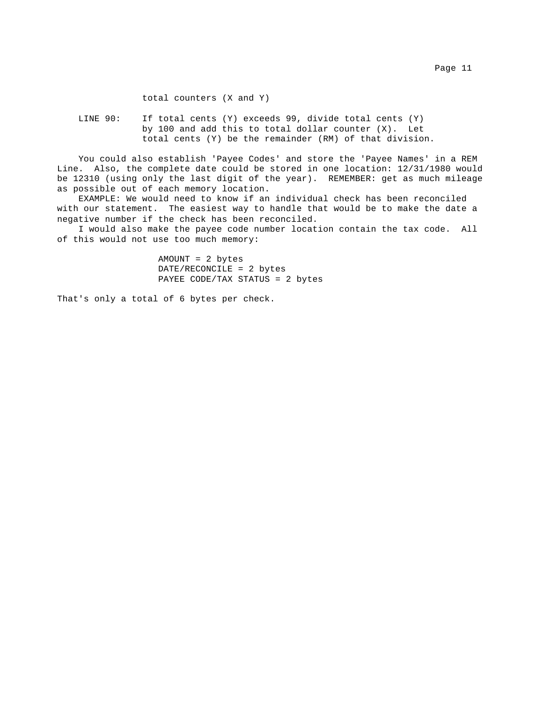total counters (X and Y)

 LINE 90: If total cents (Y) exceeds 99, divide total cents (Y) by 100 and add this to total dollar counter (X). Let total cents (Y) be the remainder (RM) of that division.

 You could also establish 'Payee Codes' and store the 'Payee Names' in a REM Line. Also, the complete date could be stored in one location: 12/31/1980 would be 12310 (using only the last digit of the year). REMEMBER: get as much mileage as possible out of each memory location.

 EXAMPLE: We would need to know if an individual check has been reconciled with our statement. The easiest way to handle that would be to make the date a negative number if the check has been reconciled.

 I would also make the payee code number location contain the tax code. All of this would not use too much memory:

> AMOUNT = 2 bytes DATE/RECONCILE = 2 bytes PAYEE CODE/TAX STATUS = 2 bytes

That's only a total of 6 bytes per check.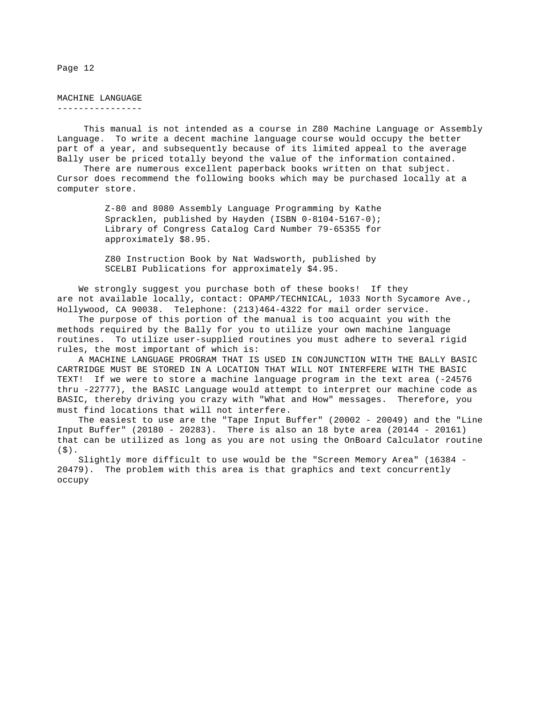MACHINE LANGUAGE ----------------

 This manual is not intended as a course in Z80 Machine Language or Assembly Language. To write a decent machine language course would occupy the better part of a year, and subsequently because of its limited appeal to the average Bally user be priced totally beyond the value of the information contained.

 There are numerous excellent paperback books written on that subject. Cursor does recommend the following books which may be purchased locally at a computer store.

> Z-80 and 8080 Assembly Language Programming by Kathe Spracklen, published by Hayden (ISBN 0-8104-5167-0); Library of Congress Catalog Card Number 79-65355 for approximately \$8.95.

 Z80 Instruction Book by Nat Wadsworth, published by SCELBI Publications for approximately \$4.95.

 We strongly suggest you purchase both of these books! If they are not available locally, contact: OPAMP/TECHNICAL, 1033 North Sycamore Ave., Hollywood, CA 90038. Telephone: (213)464-4322 for mail order service.

 The purpose of this portion of the manual is too acquaint you with the methods required by the Bally for you to utilize your own machine language routines. To utilize user-supplied routines you must adhere to several rigid rules, the most important of which is:

 A MACHINE LANGUAGE PROGRAM THAT IS USED IN CONJUNCTION WITH THE BALLY BASIC CARTRIDGE MUST BE STORED IN A LOCATION THAT WILL NOT INTERFERE WITH THE BASIC TEXT! If we were to store a machine language program in the text area (-24576 thru -22777), the BASIC Language would attempt to interpret our machine code as BASIC, thereby driving you crazy with "What and How" messages. Therefore, you must find locations that will not interfere.

 The easiest to use are the "Tape Input Buffer" (20002 - 20049) and the "Line Input Buffer" (20180 - 20283). There is also an 18 byte area (20144 - 20161) that can be utilized as long as you are not using the OnBoard Calculator routine  $(S)$ .

 Slightly more difficult to use would be the "Screen Memory Area" (16384 - 20479). The problem with this area is that graphics and text concurrently occupy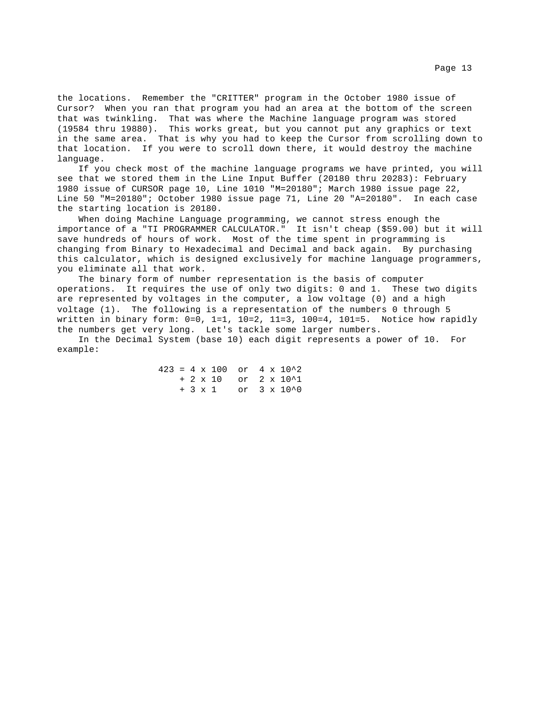the locations. Remember the "CRITTER" program in the October 1980 issue of Cursor? When you ran that program you had an area at the bottom of the screen that was twinkling. That was where the Machine language program was stored (19584 thru 19880). This works great, but you cannot put any graphics or text in the same area. That is why you had to keep the Cursor from scrolling down to that location. If you were to scroll down there, it would destroy the machine language.

 If you check most of the machine language programs we have printed, you will see that we stored them in the Line Input Buffer (20180 thru 20283): February 1980 issue of CURSOR page 10, Line 1010 "M=20180"; March 1980 issue page 22, Line 50 "M=20180"; October 1980 issue page 71, Line 20 "A=20180". In each case the starting location is 20180.

 When doing Machine Language programming, we cannot stress enough the importance of a "TI PROGRAMMER CALCULATOR." It isn't cheap (\$59.00) but it will save hundreds of hours of work. Most of the time spent in programming is changing from Binary to Hexadecimal and Decimal and back again. By purchasing this calculator, which is designed exclusively for machine language programmers, you eliminate all that work.

 The binary form of number representation is the basis of computer operations. It requires the use of only two digits: 0 and 1. These two digits are represented by voltages in the computer, a low voltage (0) and a high voltage (1). The following is a representation of the numbers 0 through 5 written in binary form: 0=0, 1=1, 10=2, 11=3, 100=4, 101=5. Notice how rapidly the numbers get very long. Let's tackle some larger numbers.

 In the Decimal System (base 10) each digit represents a power of 10. For example:

|  |  |  |  | $423 = 4 \times 100$ or $4 \times 10^2$ |
|--|--|--|--|-----------------------------------------|
|  |  |  |  | $+ 2 \times 10$ or $2 \times 10^2$      |
|  |  |  |  | $+ 3 \times 1$ or $3 \times 10^{0}$     |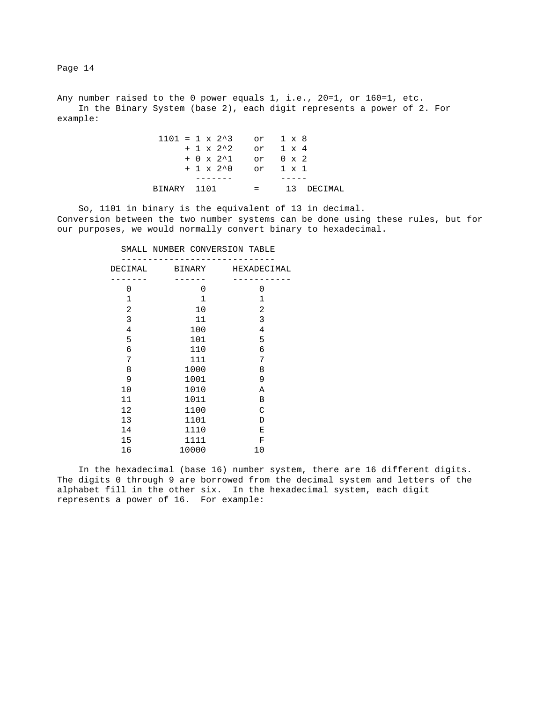Any number raised to the 0 power equals 1, i.e., 20=1, or 160=1, etc. In the Binary System (base 2), each digit represents a power of 2. For example:

|             | $1101 = 1 \times 2^3$ or $1 \times 8$ |                |
|-------------|---------------------------------------|----------------|
|             | $+ 1 \times 2^2$ or $1 \times 4$      |                |
|             | $+ 0 \times 2^1$ or $0 \times 2$      |                |
|             | $+ 1 \times 2^0$ or $1 \times 1$      |                |
|             |                                       |                |
| BINARY 1101 |                                       | $=$ 13 DECIMAL |

 So, 1101 in binary is the equivalent of 13 in decimal. Conversion between the two number systems can be done using these rules, but for our purposes, we would normally convert binary to hexadecimal.

| DECIMAL        | BINARY       | HEXADECIMAL    |
|----------------|--------------|----------------|
| $\Omega$       | 0            | 0              |
| $\mathbf{1}$   | $\mathbf{1}$ | 1              |
| 2              | 10           | 2              |
| 3              | 11           | 3              |
| $\overline{4}$ | 100          | $\overline{4}$ |
| 5              | 101          | 5              |
| 6              | 110          | 6              |
| 7              | 111          | 7              |
| 8              | 1000         | 8              |
| 9              | 1001         | 9              |
| 10             | 1010         | Α              |
| 11             | 1011         | B              |
| 12             | 1100         | C              |
| 13             | 1101         | D              |
| 14             | 1110         | Ε              |
| 15             | 1111         | $\mathbf F$    |
| 16             | 10000        | 10             |

SMALL NUMBER CONVERSION TABLE

 In the hexadecimal (base 16) number system, there are 16 different digits. The digits 0 through 9 are borrowed from the decimal system and letters of the alphabet fill in the other six. In the hexadecimal system, each digit represents a power of 16. For example: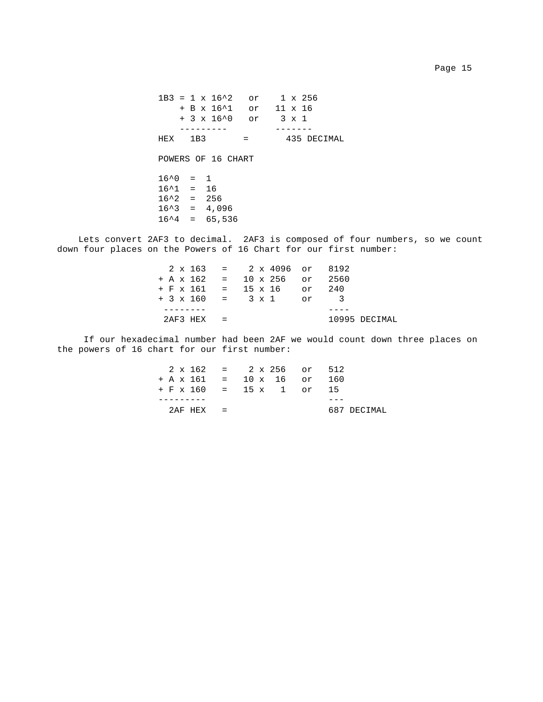|                    |     | $1B3 = 1 \times 16^2$ or $1 \times 256$ |                      |             |
|--------------------|-----|-----------------------------------------|----------------------|-------------|
|                    |     | + B x 16^1 or 11 x 16                   |                      |             |
|                    |     | + 3 x 16^0 or 3 x 1                     |                      |             |
|                    |     |                                         |                      |             |
| HEX                | 1B3 |                                         | and the state of the | 435 DECIMAL |
|                    |     | POWERS OF 16 CHART                      |                      |             |
| $16^{\circ}0 = 1$  |     |                                         |                      |             |
| $16^{\circ}1 = 16$ |     |                                         |                      |             |
| $16^2 = 256$       |     |                                         |                      |             |
| $16^3 = 4,096$     |     |                                         |                      |             |
|                    |     | $16^4 = 65,536$                         |                      |             |

 Lets convert 2AF3 to decimal. 2AF3 is composed of four numbers, so we count down four places on the Powers of 16 Chart for our first number:

|              | $2 \times 163 = 2 \times 4096$ or 8192 |               |
|--------------|----------------------------------------|---------------|
|              | $+ A x 162 = 10 x 256$ or 2560         |               |
|              | $+ F$ x 161 = 15 x 16 or 240           |               |
|              | $+3 \times 160 = 3 \times 1$ or 3      |               |
|              |                                        |               |
| $2AF3 HEX =$ |                                        | 10995 DECIMAL |

 If our hexadecimal number had been 2AF we would count down three places on the powers of 16 chart for our first number:

| $2 \times 162 = 2 \times 256$ or 512 |  |  |             |
|--------------------------------------|--|--|-------------|
| $+ A x 161 = 10 x 16$ or 160         |  |  |             |
| $+ F \times 160 = 15 \times 1$ or 15 |  |  |             |
|                                      |  |  |             |
| $2AF HFX =$                          |  |  | 687 DECIMAL |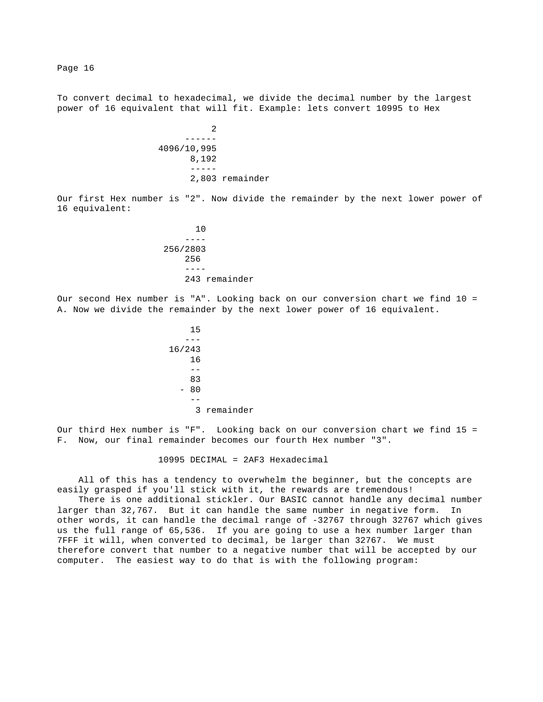To convert decimal to hexadecimal, we divide the decimal number by the largest power of 16 equivalent that will fit. Example: lets convert 10995 to Hex

 2 ------ 4096/10,995 8,192 ----- 2,803 remainder

Our first Hex number is "2". Now divide the remainder by the next lower power of 16 equivalent:

 10 ---- 256/2803 256 ---- 243 remainder

Our second Hex number is "A". Looking back on our conversion chart we find 10 = A. Now we divide the remainder by the next lower power of 16 equivalent.

<u>15</u> --- 16/243 16 -- <u>83</u>  $- 80$  -- 3 remainder

Our third Hex number is "F". Looking back on our conversion chart we find 15 = F. Now, our final remainder becomes our fourth Hex number "3".

10995 DECIMAL = 2AF3 Hexadecimal

 All of this has a tendency to overwhelm the beginner, but the concepts are easily grasped if you'll stick with it, the rewards are tremendous!

 There is one additional stickler. Our BASIC cannot handle any decimal number larger than 32,767. But it can handle the same number in negative form. In other words, it can handle the decimal range of -32767 through 32767 which gives us the full range of 65,536. If you are going to use a hex number larger than 7FFF it will, when converted to decimal, be larger than 32767. We must therefore convert that number to a negative number that will be accepted by our computer. The easiest way to do that is with the following program: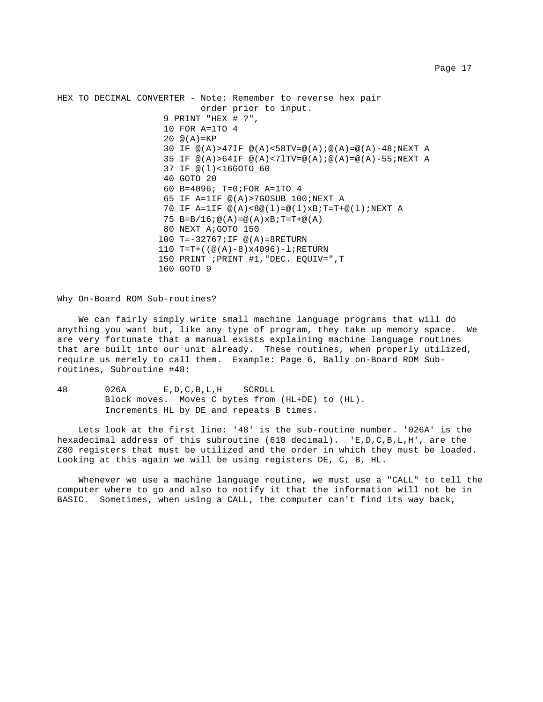HEX TO DECIMAL CONVERTER - Note: Remember to reverse hex pair order prior to input. 9 PRINT "HEX # ?", 10 FOR A=1TO 4  $20 \t@(A)=KP$ 30 IF  $\mathcal{Q}(A) > 47$ IF  $\mathcal{Q}(A) < 58$ TV= $\mathcal{Q}(A)$ ;  $\mathcal{Q}(A) = \mathcal{Q}(A) - 48$ ; NEXT A 35 IF  $@(A) > 64$ IF  $@(A) < 7$ lTV= $@(A)$ ;  $@(A) = @(A) - 55$ ; NEXT A 37 IF @(l)<16GOTO 60 40 GOTO 20 60 B=4096; T=0;FOR A=1TO 4 65 IF A=1IF @(A)>7GOSUB 100;NEXT A 70 IF A=1IF @(A)<8@(l)=@(l)xB;T=T+@(l);NEXT A 75  $B=B/I6$ ;  $@(A)=@(A)xB$ ; T=T+ $@(A)$  80 NEXT A;GOTO 150 l00 T=-32767;IF @(A)=8RETURN 110 T=T+((@(A)-8)x4096)-l;RETURN 150 PRINT ;PRINT #1,"DEC. EQUIV=",T 160 GOTO 9

Why On-Board ROM Sub-routines?

 We can fairly simply write small machine language programs that will do anything you want but, like any type of program, they take up memory space. We are very fortunate that a manual exists explaining machine language routines that are built into our unit already. These routines, when properly utilized, require us merely to call them. Example: Page 6, Bally on-Board ROM Subroutines, Subroutine #48:

48 026A E,D,C,B,L,H SCROLL Block moves. Moves C bytes from (HL+DE) to (HL). Increments HL by DE and repeats B times.

 Lets look at the first line: '48' is the sub-routine number. '026A' is the hexadecimal address of this subroutine (618 decimal). 'E,D,C,B,L,H', are the Z80 registers that must be utilized and the order in which they must be loaded. Looking at this again we will be using registers DE, C, B, HL.

Whenever we use a machine language routine, we must use a "CALL" to tell the computer where to go and also to notify it that the information will not be in BASIC. Sometimes, when using a CALL, the computer can't find its way back,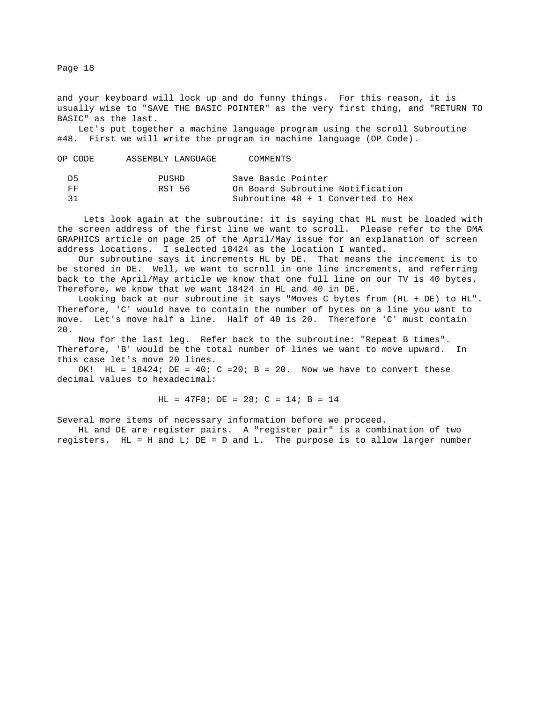and your keyboard will lock up and do funny things. For this reason, it is usually wise to "SAVE THE BASIC POINTER" as the very first thing, and "RETURN TO BASIC" as the last.

 Let's put together a machine language program using the scroll Subroutine #48. First we will write the program in machine language (OP Code).

| OP CODE | ASSEMBLY LANGUAGE | COMMENTS                           |
|---------|-------------------|------------------------------------|
| D5      | PUSHD             | Save Basic Pointer                 |
| FF      | RST 56            | On Board Subroutine Notification   |
| 31      |                   | Subroutine 48 + 1 Converted to Hex |

 Lets look again at the subroutine: it is saying that HL must be loaded with the screen address of the first line we want to scroll. Please refer to the DMA GRAPHICS article on page 25 of the April/May issue for an explanation of screen address locations. I selected 18424 as the location I wanted.

 Our subroutine says it increments HL by DE. That means the increment is to be stored in DE. Well, we want to scroll in one line increments, and referring back to the April/May article we know that one full line on our TV is 40 bytes. Therefore, we know that we want 18424 in HL and 40 in DE.

 Looking back at our subroutine it says "Moves C bytes from (HL + DE) to HL". Therefore, 'C' would have to contain the number of bytes on a line you want to move. Let's move half a line. Half of 40 is 20. Therefore 'C' must contain 20.

 Now for the last leg. Refer back to the subroutine: "Repeat B times". Therefore, 'B' would be the total number of lines we want to move upward. In this case let's move 20 lines.

OK! HL =  $18424$ ; DE =  $40$ ; C =  $20$ ; B =  $20$ . Now we have to convert these decimal values to hexadecimal:

HL = 47F8; DE = 28; C = 14; B = 14

Several more items of necessary information before we proceed.

 HL and DE are register pairs. A "register pair" is a combination of two registers. HL = H and L; DE = D and L. The purpose is to allow larger number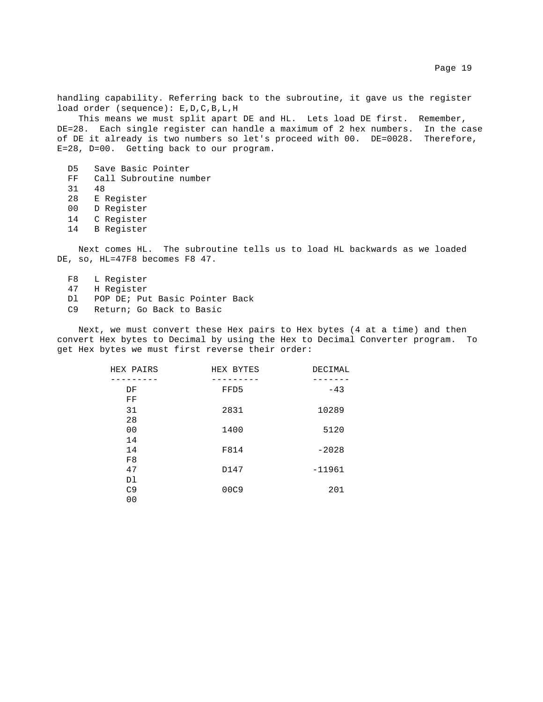handling capability. Referring back to the subroutine, it gave us the register load order (sequence): E,D,C,B,L,H

 This means we must split apart DE and HL. Lets load DE first. Remember, DE=28. Each single register can handle a maximum of 2 hex numbers. In the case of DE it already is two numbers so let's proceed with 00. DE=0028. Therefore, E=28, D=00. Getting back to our program.

 D5 Save Basic Pointer FF Call Subroutine number 31 48 28 E Register 00 D Register 14 C Register 14 B Register

 Next comes HL. The subroutine tells us to load HL backwards as we loaded DE, so, HL=47F8 becomes F8 47.

 F8 L Register 47 H Register Dl POP DE; Put Basic Pointer Back C9 Return; Go Back to Basic

 Next, we must convert these Hex pairs to Hex bytes (4 at a time) and then convert Hex bytes to Decimal by using the Hex to Decimal Converter program. To get Hex bytes we must first reverse their order:

| HEX PAIRS      | HEX BYTES | DECIMAL  |
|----------------|-----------|----------|
|                |           |          |
| DF             | FFD5      | $-43$    |
| FF             |           |          |
| 31             | 2831      | 10289    |
| 28             |           |          |
| 0 <sub>0</sub> | 1400      | 5120     |
| 14             |           |          |
| 14             | F814      | $-2028$  |
| F8             |           |          |
| 47             | D147      | $-11961$ |
| D1             |           |          |
| C <sub>9</sub> | 00C9      | 201      |
| 0 <sub>0</sub> |           |          |
|                |           |          |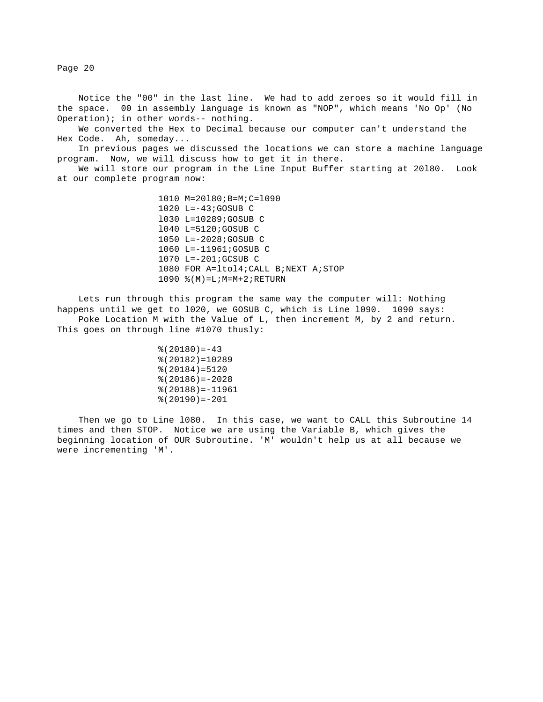Notice the "00" in the last line. We had to add zeroes so it would fill in the space. 00 in assembly language is known as "NOP", which means 'No Op' (No Operation); in other words-- nothing.

 We converted the Hex to Decimal because our computer can't understand the Hex Code. Ah, someday...

 In previous pages we discussed the locations we can store a machine language program. Now, we will discuss how to get it in there.

 We will store our program in the Line Input Buffer starting at 20l80. Look at our complete program now:

> 1010 M=20l80;B=M;C=l090 1020 L=-43;GOSUB C l030 L=10289;GOSUB C l040 L=5120;GOSUB C 1050 L=-2028;GOSUB C 1060 L=-11961;GOSUB C 1070 L=-201;GCSUB C 1080 FOR A=ltol4;CALL B;NEXT A;STOP 1090 %(M)=L;M=M+2;RETURN

 Lets run through this program the same way the computer will: Nothing happens until we get to l020, we GOSUB C, which is Line l090. 1090 says: Poke Location M with the Value of L, then increment M, by 2 and return. This goes on through line #1070 thusly:

> $*(20180) = -43$  %(20182)=10289 %(20184)=5120 %(20186)=-2028 %(20188)=-11961 %(20190)=-201

 Then we go to Line l080. In this case, we want to CALL this Subroutine 14 times and then STOP. Notice we are using the Variable B, which gives the beginning location of OUR Subroutine. 'M' wouldn't help us at all because we were incrementing 'M'.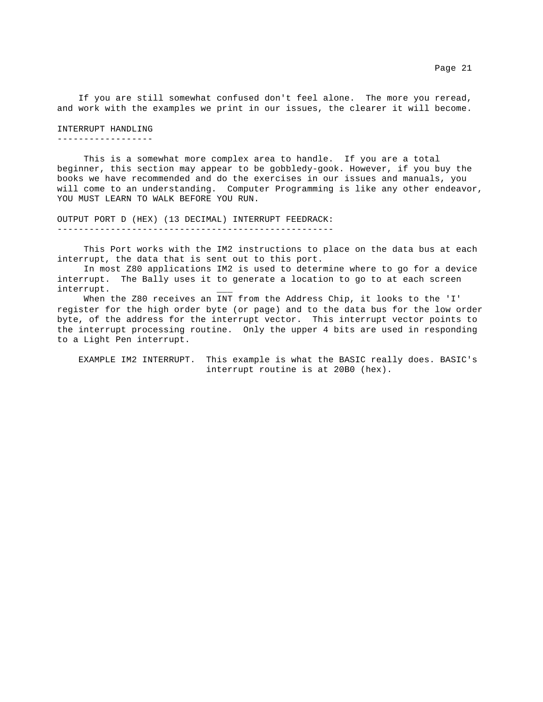#### INTERRUPT HANDLING

------------------

 This is a somewhat more complex area to handle. If you are a total beginner, this section may appear to be gobbledy-gook. However, if you buy the books we have recommended and do the exercises in our issues and manuals, you will come to an understanding. Computer Programming is like any other endeavor, YOU MUST LEARN TO WALK BEFORE YOU RUN.

OUTPUT PORT D (HEX) (13 DECIMAL) INTERRUPT FEEDRACK: ----------------------------------------------------

 This Port works with the IM2 instructions to place on the data bus at each interrupt, the data that is sent out to this port.

 In most Z80 applications IM2 is used to determine where to go for a device interrupt. The Bally uses it to generate a location to go to at each screen interrupt. \_\_\_

 When the Z80 receives an INT from the Address Chip, it looks to the 'I' register for the high order byte (or page) and to the data bus for the low order byte, of the address for the interrupt vector. This interrupt vector points to the interrupt processing routine. Only the upper 4 bits are used in responding to a Light Pen interrupt.

 EXAMPLE IM2 INTERRUPT. This example is what the BASIC really does. BASIC's interrupt routine is at 20B0 (hex).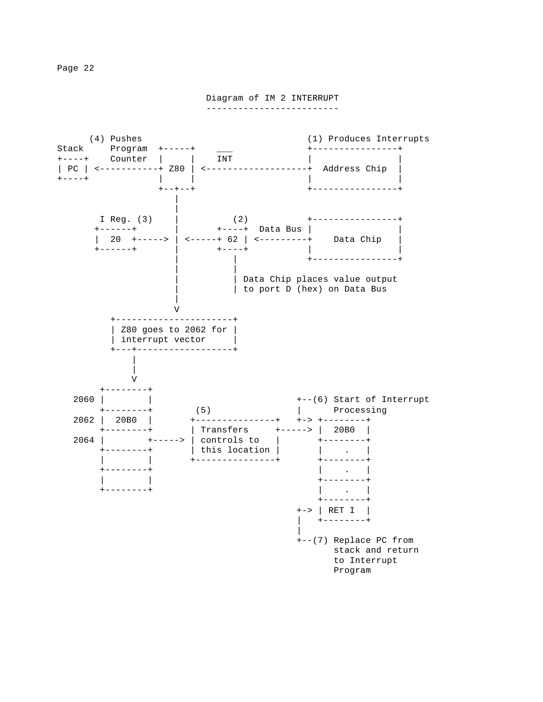Diagram of IM 2 INTERRUPT

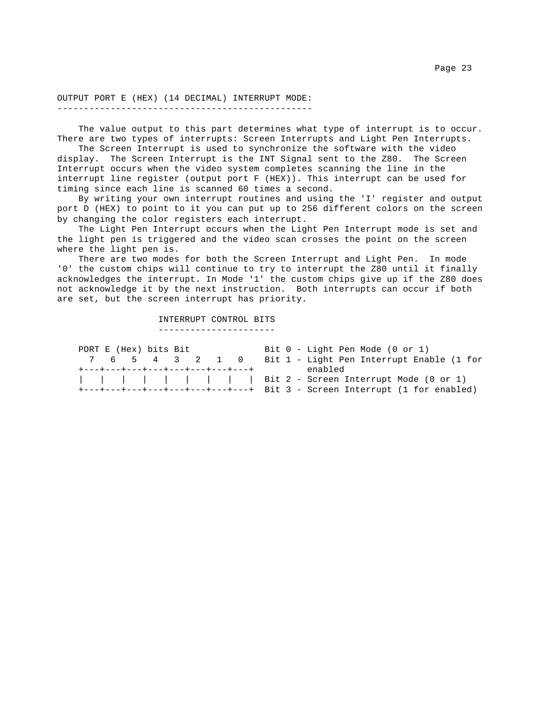OUTPUT PORT E (HEX) (14 DECIMAL) INTERRUPT MODE: ------------------------------------------------

 The value output to this part determines what type of interrupt is to occur. There are two types of interrupts: Screen Interrupts and Light Pen Interrupts.

 The Screen Interrupt is used to synchronize the software with the video display. The Screen Interrupt is the INT Signal sent to the Z80. The Screen Interrupt occurs when the video system completes scanning the line in the interrupt line register (output port F (HEX)). This interrupt can be used for timing since each line is scanned 60 times a second.

 By writing your own interrupt routines and using the 'I' register and output port D (HEX) to point to it you can put up to 256 different colors on the screen by changing the color registers each interrupt.

 The Light Pen Interrupt occurs when the Light Pen Interrupt mode is set and the light pen is triggered and the video scan crosses the point on the screen where the light pen is.

 There are two modes for both the Screen Interrupt and Light Pen. In mode '0' the custom chips will continue to try to interrupt the Z80 until it finally acknowledges the interrupt. In Mode '1' the custom chips give up if the Z80 does not acknowledge it by the next instruction. Both interrupts can occur if both are set, but the screen interrupt has priority.

> INTERRUPT CONTROL BITS ----------------------

PORT E (Hex) bits Bit 6 - Light Pen Mode (0 or 1) 7 6 5 4 3 2 1 0 Bit 1 - Light Pen Interrupt Enable (1 for +---+---+---+---+---+---+---+---+ enabled | | | | | | | | | Bit 2 - Screen Interrupt Mode (0 or 1) +---+---+---+---+---+---+---+---+ Bit 3 - Screen Interrupt (1 for enabled)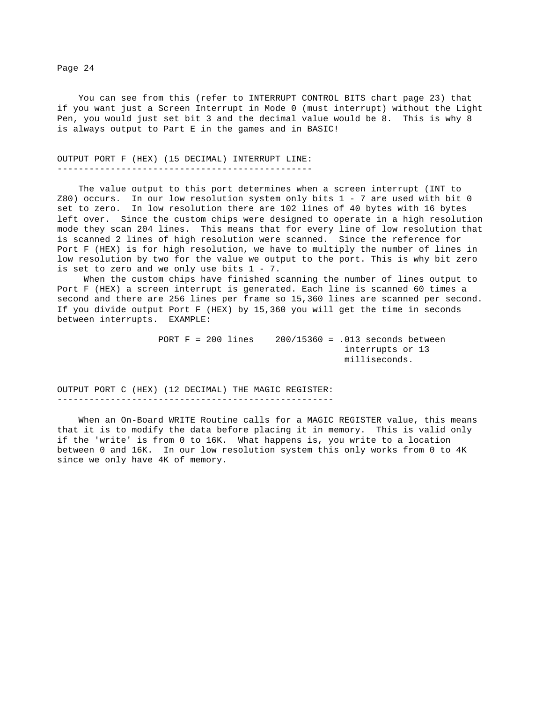You can see from this (refer to INTERRUPT CONTROL BITS chart page 23) that if you want just a Screen Interrupt in Mode 0 (must interrupt) without the Light Pen, you would just set bit 3 and the decimal value would be 8. This is why 8 is always output to Part E in the games and in BASIC!

OUTPUT PORT F (HEX) (15 DECIMAL) INTERRUPT LINE: ------------------------------------------------

 The value output to this port determines when a screen interrupt (INT to Z80) occurs. In our low resolution system only bits 1 - 7 are used with bit 0 set to zero. In low resolution there are 102 lines of 40 bytes with 16 bytes left over. Since the custom chips were designed to operate in a high resolution mode they scan 204 lines. This means that for every line of low resolution that is scanned 2 lines of high resolution were scanned. Since the reference for Port F (HEX) is for high resolution, we have to multiply the number of lines in low resolution by two for the value we output to the port. This is why bit zero is set to zero and we only use bits  $1 - 7$ .

 When the custom chips have finished scanning the number of lines output to Port F (HEX) a screen interrupt is generated. Each line is scanned 60 times a second and there are 256 lines per frame so 15,360 lines are scanned per second. If you divide output Port F (HEX) by 15,360 you will get the time in seconds between interrupts. EXAMPLE:

 \_\_\_\_\_ PORT F = 200 lines 200/15360 = .013 seconds between interrupts or 13 milliseconds.

OUTPUT PORT C (HEX) (12 DECIMAL) THE MAGIC REGISTER: ----------------------------------------------------

 When an On-Board WRITE Routine calls for a MAGIC REGISTER value, this means that it is to modify the data before placing it in memory. This is valid only if the 'write' is from 0 to 16K. What happens is, you write to a location between 0 and 16K. In our low resolution system this only works from 0 to 4K since we only have 4K of memory.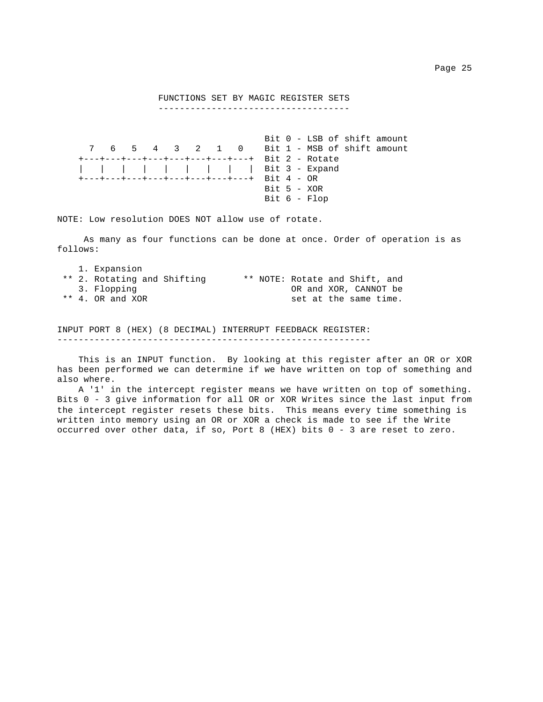# FUNCTIONS SET BY MAGIC REGISTER SETS

------------------------------------

 Bit 0 - LSB of shift amount 7 6 5 4 3 2 1 0 Bit 1 - MSB of shift amount +---+---+---+---+---+---+---+---+ Bit 2 - Rotate | | | | | | | | | Bit 3 - Expand +---+---+---+---+---+---+---+---+ Bit 4 - OR Bit 5 - XOR Bit 6 - Flop

NOTE: Low resolution DOES NOT allow use of rotate.

 As many as four functions can be done at once. Order of operation is as follows:

|  | 1. Expansion                |                                |
|--|-----------------------------|--------------------------------|
|  | ** 2. Rotating and Shifting | ** NOTE: Rotate and Shift, and |
|  | 3. Flopping                 | OR and XOR, CANNOT be          |
|  | $**$ 4. OR and XOR          | set at the same time.          |

INPUT PORT 8 (HEX) (8 DECIMAL) INTERRUPT FEEDBACK REGISTER: -----------------------------------------------------------

 This is an INPUT function. By looking at this register after an OR or XOR has been performed we can determine if we have written on top of something and also where.

 A '1' in the intercept register means we have written on top of something. Bits 0 - 3 give information for all OR or XOR Writes since the last input from the intercept register resets these bits. This means every time something is written into memory using an OR or XOR a check is made to see if the Write occurred over other data, if so, Port 8 (HEX) bits 0 - 3 are reset to zero.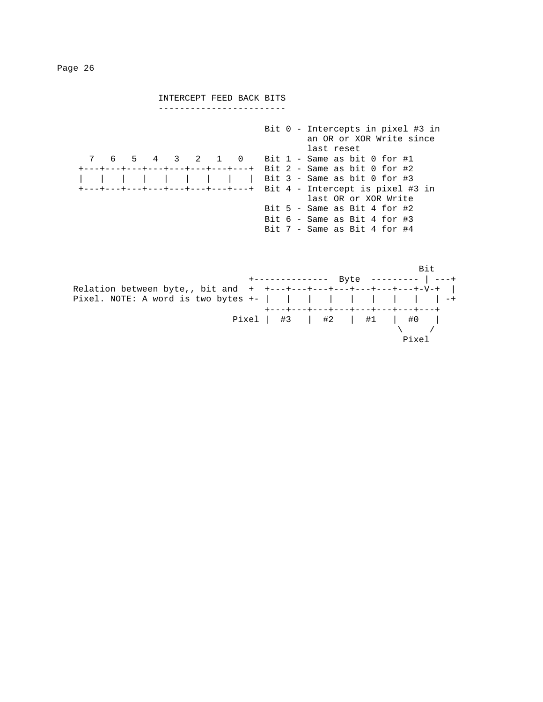INTERCEPT FEED BACK BITS ------------------------ Bit 0 - Intercepts in pixel #3 in an OR or XOR Write since last reset 7 6 5 4 3 2 1 0 Bit 1 - Same as bit 0 for #1 +---+---+---+---+---+---+---+---+ Bit 2 - Same as bit 0 for #2 | | | | | | | | | Bit 3 - Same as bit 0 for #3 +---+---+---+---+---+---+---+---+ Bit 4 - Intercept is pixel #3 in last OR or XOR Write Bit 5 - Same as Bit 4 for #2 Bit 6 - Same as Bit 4 for #3 Bit 7 - Same as Bit 4 for #4

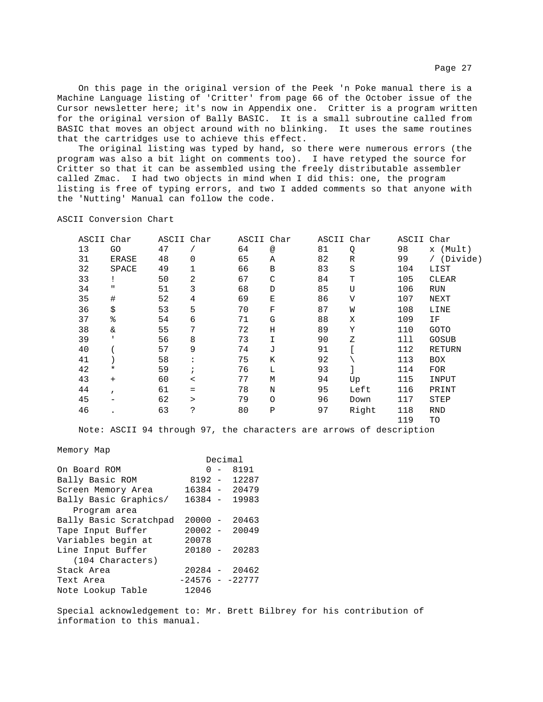On this page in the original version of the Peek 'n Poke manual there is a Machine Language listing of 'Critter' from page 66 of the October issue of the Cursor newsletter here; it's now in Appendix one. Critter is a program written for the original version of Bally BASIC. It is a small subroutine called from BASIC that moves an object around with no blinking. It uses the same routines that the cartridges use to achieve this effect.

 The original listing was typed by hand, so there were numerous errors (the program was also a bit light on comments too). I have retyped the source for Critter so that it can be assembled using the freely distributable assembler called Zmac. I had two objects in mind when I did this: one, the program listing is free of typing errors, and two I added comments so that anyone with the 'Nutting' Manual can follow the code.

ASCII Conversion Chart

| ASCII | Char         | ASCII Char |                | ASCII Char |               | ASCII Char |              | ASCII Char |              |
|-------|--------------|------------|----------------|------------|---------------|------------|--------------|------------|--------------|
| 13    | GO           | 47         |                | 64         | $^\copyright$ | 81         | Q            | 98         | x (Mult)     |
| 31    | <b>ERASE</b> | 48         | 0              | 65         | Α             | 82         | $\mathbb R$  | 99         | (Divide)     |
| 32    | SPACE        | 49         |                | 66         | B             | 83         | S            | 104        | LIST         |
| 33    |              | 50         | 2              | 67         | C             | 84         | Т            | 105        | CLEAR        |
| 34    | п            | 51         | 3              | 68         | D             | 85         | U            | 106        | <b>RUN</b>   |
| 35    | #            | 52         | $\overline{4}$ | 69         | Ε             | 86         | $\mathbf{V}$ | 107        | NEXT         |
| 36    | \$           | 53         | 5              | 70         | F             | 87         | M            | 108        | LINE         |
| 37    | ి            | 54         | 6              | 71         | G             | 88         | Χ            | 109        | ΙF           |
| 38    | &            | 55         | 7              | 72         | Η             | 89         | Υ            | 110        | <b>GOTO</b>  |
| 39    |              | 56         | 8              | 73         | I             | 90         | Ζ            | 111        | <b>GOSUB</b> |
| 40    |              | 57         | 9              | 74         | J             | 91         |              | 112        | RETURN       |
| 41    |              | 58         |                | 75         | K             | 92         |              | 113        | <b>BOX</b>   |
| 42    | $^\star$     | 59         |                | 76         | L             | 93         |              | 114        | <b>FOR</b>   |
| 43    | $+$          | 60         | $\,<\,$        | 77         | М             | 94         | Up           | 115        | INPUT        |
| 44    | $\mathbf{r}$ | 61         | $=$            | 78         | $\mathbf N$   | 95         | Left         | 116        | PRINT        |
| 45    |              | 62         | $\geq$         | 79         | $\circ$       | 96         | Down         | 117        | STEP         |
| 46    |              | 63         | ċ.             | 80         | $\, {\bf P}$  | 97         | Right        | 118        | <b>RND</b>   |
|       |              |            |                |            |               |            |              | 119        | TO           |
|       |              |            |                |            |               |            |              |            |              |

Note: ASCII 94 through 97, the characters are arrows of description

### Memory Map

|                        |                  |     | Decimal         |
|------------------------|------------------|-----|-----------------|
| On Board ROM           |                  | ი – | 8191            |
| Bally Basic ROM        | $8192 -$         |     | 12287           |
| Screen Memory Area     |                  |     | $16384 - 20479$ |
| Bally Basic Graphics/  | 16384 -          |     | 19983           |
| Program area           |                  |     |                 |
| Bally Basic Scratchpad | $20000 -$        |     | 20463           |
| Tape Input Buffer      | $20002 -$        |     | 20049           |
| Variables begin at     | 20078            |     |                 |
| Line Input Buffer      | $20180 -$        |     | 20283           |
| (104 Characters)       |                  |     |                 |
| Stack Area             |                  |     | $20284 - 20462$ |
| Text Area              | $-24576 - 22777$ |     |                 |
| Note Lookup Table      | 12046            |     |                 |

Special acknowledgement to: Mr. Brett Bilbrey for his contribution of information to this manual.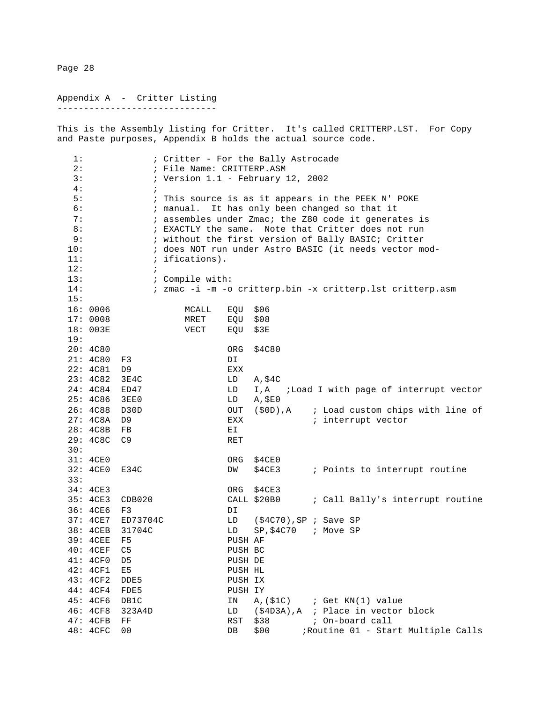Appendix A - Critter Listing ------------------------------

This is the Assembly listing for Critter. It's called CRITTERP.LST. For Copy and Paste purposes, Appendix B holds the actual source code.

1:  $\qquad \qquad ;$  Critter - For the Bally Astrocade 2:  $;$  File Name: CRITTERP.ASM 3: ; Version 1.1 - February 12, 2002 4: ; 5: ; This source is as it appears in the PEEK N' POKE 6: ; manual. It has only been changed so that it 7: ; assembles under Zmac; the Z80 code it generates is 8:  $\cdot$  ; EXACTLY the same. Note that Critter does not run 9: ; without the first version of Bally BASIC; Critter 10: ; does NOT run under Astro BASIC (it needs vector mod- 11:  $\qquad \qquad ;$  ifications).  $12:$  ; 13:  $\qquad \qquad ; \qquad \text{Complete with:}$ 14: ; zmac -i -m -o critterp.bin -x critterp.lst critterp.asm 15: 16: 0006 MCALL EQU \$06 17: 0008 MRET EQU \$08 18: 003E VECT EQU \$3E 19: 20: 4C80 ORG \$4C80 21: 4C80 F3 DI 22: 4C81 D9 EXX<br>23: 4C82 3E4C LD A,\$4C 23: 4C82 3E4C 24: 4C84 ED47 LD I,A ;Load I with page of interrupt vector 25: 4C86 3EE0 LD A,\$E0 26: 4C88 D30D OUT (\$0D), A ; Load custom chips with line of 27: 4C8A D9 EXX ; interrupt vector EXX ; interrupt vector<br>EI 28: 4C8B FB 29: 4C8C C9 RET 30: 31: 4CE0 ORG \$4CE0 32: 4CE0 E34C DW \$4CE3 ; Points to interrupt routine 33: 34: 4CE3 ORG \$4CE3 35: 4CE3 CDB020 CALL \$20B0 ; Call Bally's interrupt routine 36: 4CE6 F3 DI 37: 4CE7 ED73704C LD (\$4C70),SP ; Save SP 38: 4CEB 31704C LD SP,\$4C70 ; Move SP 39: 4CEE F5 PUSH AF 40: 4CEF C5 PUSH BC<br>41: 4CF0 D5 PUSH DE 41: 4CF0 D5 PUSH DE 42: 4CF1 E5 PUSH HL 42: 4CF1 E5 PUSH HL<br>43: 4CF2 DDE5 PUSH IX 43: 4CF2 DDE5 PUSH IX<br>44: 4CF4 FDE5 PUSH IY  $44: 4CF4 FDE5$ 45: 4CF6 DB1C 1N A, (\$1C) ; Get KN(1) value<br>46: 4CF8 323A4D 1D (\$4D3A), A ; Place in vector 46: 4CF8 323A4D LD (\$4D3A), A ; Place in vector block<br>47: 4CFB FF RST \$38 ; On-board call 47: 4CFB FF RST \$38 ; On-board call DB \$00 ;Routine 01 - Start Multiple Calls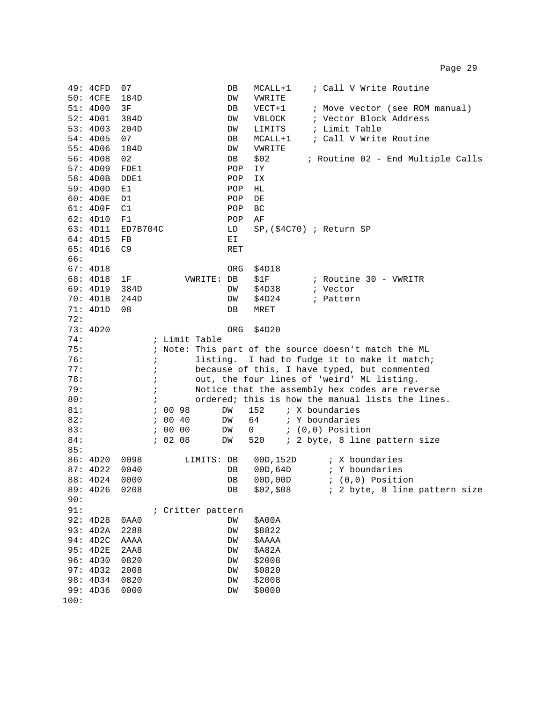|      | 49: 4CFD      | 07             |                             | ; Call V Write Routine<br>DB<br>MCALL+1              |
|------|---------------|----------------|-----------------------------|------------------------------------------------------|
|      | 50: 4CFE      | 184D           |                             | DW<br>VWRITE                                         |
|      | 51: 4D00      | 3F             |                             | $VECT+1$<br>; Move vector (see ROM manual)<br>DB     |
|      | 52: 4D01      | 384D           |                             | ; Vector Block Address<br>VBLOCK<br>DW               |
|      | 53: 4D03      | 204D           |                             | ; Limit Table<br>LIMITS<br>DW                        |
|      | 54:4D05       | 07             |                             | ; Call V Write Routine<br>MCALL+1<br>DB              |
|      | 55: 4D06      | 184D           |                             | DW<br>VWRITE                                         |
|      | 56: 4D08      | 02             |                             | \$02<br>; Routine 02 - End Multiple Calls<br>DB      |
|      | 57: 4D09      | FDE1           |                             | POP<br>IΥ                                            |
|      | 58: 4D0B      | DDE1           |                             | POP<br>ΙX                                            |
|      | 59: 4D0D      | E1             |                             | POP<br>НL                                            |
|      | 60: 4D0E      | D1             |                             | POP<br>DE                                            |
|      | 61: 4D0F      | C1             |                             | POP<br>BC                                            |
|      | 62: 4D10      | F1             |                             | POP<br>ΑF                                            |
|      | 63: 4D11      | ED7B704C       |                             | $SP$ , (\$4C70) ; Return SP<br>LD                    |
|      | 64: 4D15      | FB             |                             | ЕI                                                   |
|      | 65: 4D16      | C <sub>9</sub> |                             | <b>RET</b>                                           |
| 66:  |               |                |                             |                                                      |
|      | 67: 4D18      |                |                             | \$4D18<br>ORG                                        |
|      | 68: 4D18      | 1F             | VWRITE: DB                  | \$1F<br>; Routine 30 - VWRITR                        |
|      | 69: 4D19      | 384D           |                             | \$4D38<br>DW<br>; Vector                             |
|      | 70: 4D1B      | 244D           |                             | \$4D24<br>; Pattern<br>DW                            |
|      | 71: 4D1D      | 08             |                             | DB<br>MRET                                           |
| 72:  |               |                |                             |                                                      |
|      | 73: 4D20      |                |                             | \$4D20<br>ORG                                        |
| 74:  |               |                | ; Limit Table               |                                                      |
| 75:  |               |                |                             | ; Note: This part of the source doesn't match the ML |
| 76:  |               |                | $\ddot{i}$                  | listing. I had to fudge it to make it match;         |
| 77:  |               |                | $\ddot{i}$                  | because of this, I have typed, but commented         |
| 78:  |               |                | $\ddot{i}$                  | out, the four lines of 'weird' ML listing.           |
| 79:  |               |                | $\mathbf{\dot{i}}$          | Notice that the assembly hex codes are reverse       |
| 80:  |               |                | $\ddot{i}$                  | ordered; this is how the manual lists the lines.     |
| 81:  |               |                | 00 98<br>$\mathbf{i}$<br>DW | 152<br>; X boundaries                                |
| 82:  |               |                | 00 40<br>$\mathbf{r}$<br>DW | 64<br>; Y boundaries                                 |
| 83:  |               |                | 00 00<br>$\mathbf{r}$<br>DW | $(0,0)$ Position<br>0                                |
| 84:  |               |                | 70208<br>DW                 | ; 2 byte, 8 line pattern size<br>520                 |
| 85:  |               |                |                             |                                                      |
|      | 86: 4D20      | 0098           | LIMITS: DB                  | ; X boundaries<br>00D,152D                           |
|      | 87: 4D22      | 0040           |                             | 00D,64D<br>; Y boundaries<br>DB                      |
|      | 88: 4D24 0000 |                |                             | 00D,00D<br>DB<br>; (0,0) Position                    |
|      | 89: 4D26      | 0208           |                             | \$02, \$08<br>; 2 byte, 8 line pattern size<br>DB    |
| 90:  |               |                |                             |                                                      |
| 91:  |               |                | ; Critter pattern           |                                                      |
|      | 92: 4D28      | 0AA0           |                             | DM<br>\$A00A                                         |
|      | 93: 4D2A      | 2288           |                             | DM<br>\$8822                                         |
|      | 94: 4D2C      | AAAA           |                             | \$AAAA<br>DM                                         |
|      | 95: 4D2E      | 2AA8           |                             | \$A82A<br>DM                                         |
|      | 96: 4D30      | 0820           |                             | \$2008<br>DW                                         |
|      | 97: 4D32      | 2008           |                             | \$0820<br>DM                                         |
|      | 98: 4D34      | 0820           |                             | \$2008<br>DM                                         |
|      | 99: 4D36      | 0000           |                             | \$0000<br>DM                                         |
| 100: |               |                |                             |                                                      |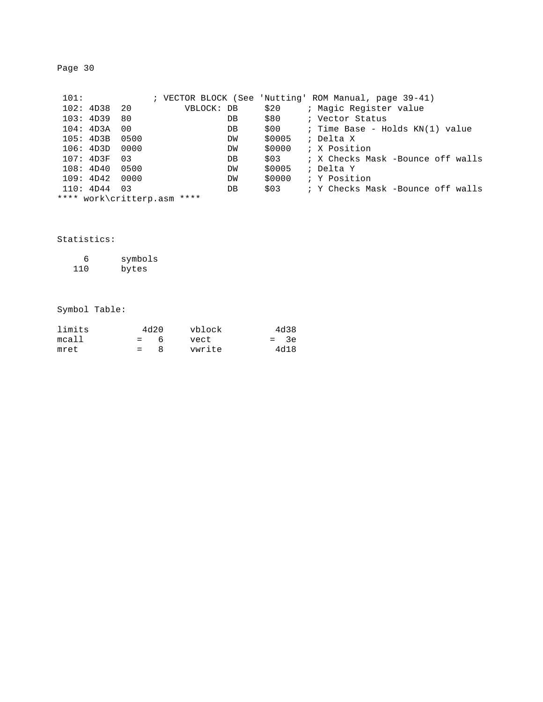| 101: |           |      |                             |        | ; VECTOR BLOCK (See 'Nutting' ROM Manual, page 39-41) |
|------|-----------|------|-----------------------------|--------|-------------------------------------------------------|
|      | 102: 4D38 | 20   | VBLOCK: DB                  | \$20   | ; Magic Register value                                |
|      | 103: 4D39 | 80   | DB                          | \$80   | ; Vector Status                                       |
|      | 104: 4D3A | 00   | DB                          | \$00   | ; Time Base - Holds KN(1) value                       |
|      | 105: 4D3B | 0500 | DW                          | \$0005 | ; Delta X                                             |
|      | 106: 4D3D | 0000 | DW                          | \$0000 | ; X Position                                          |
|      | 107: 4D3F | 03   | DB                          | \$03   | ; X Checks Mask -Bounce off walls                     |
|      | 108:4D40  | 0500 | DW                          | \$0005 | ; Delta Y                                             |
|      | 109: 4D42 | 0000 | DW                          | \$0000 | ; Y Position                                          |
|      | 110: 4D44 | 03   | DB                          | \$03   | ; Y Checks Mask -Bounce off walls                     |
|      |           |      | **** work\critterp.asm **** |        |                                                       |
|      |           |      |                             |        |                                                       |

## Statistics:

| 6   | symbols |
|-----|---------|
| 110 | bytes   |

## Symbol Table:

| limits |         | 4d20 | vblock | 4d38   |
|--------|---------|------|--------|--------|
| mcall  | $= 6$   |      | vect   | $=$ 3e |
| mret   | $=$ $-$ | - 8  | vwrite | 4d18   |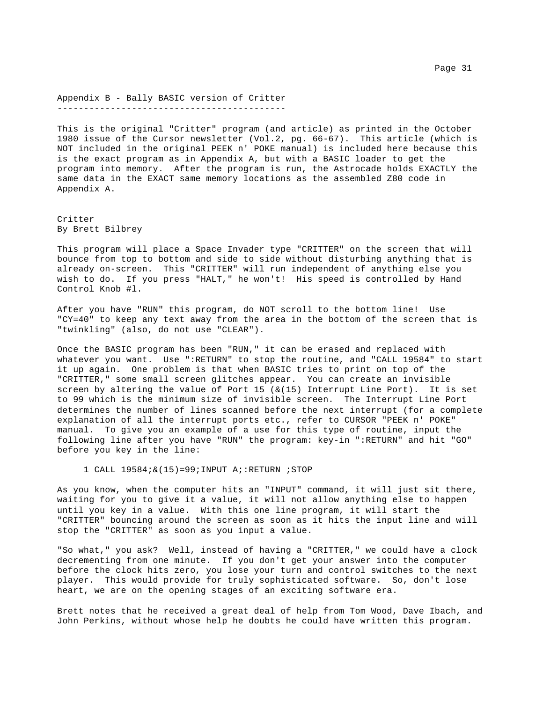Appendix B - Bally BASIC version of Critter -------------------------------------------

This is the original "Critter" program (and article) as printed in the October 1980 issue of the Cursor newsletter (Vol.2, pg. 66-67). This article (which is NOT included in the original PEEK n' POKE manual) is included here because this is the exact program as in Appendix A, but with a BASIC loader to get the program into memory. After the program is run, the Astrocade holds EXACTLY the same data in the EXACT same memory locations as the assembled Z80 code in Appendix A.

Critter By Brett Bilbrey

This program will place a Space Invader type "CRITTER" on the screen that will bounce from top to bottom and side to side without disturbing anything that is already on-screen. This "CRITTER" will run independent of anything else you wish to do. If you press "HALT," he won't! His speed is controlled by Hand Control Knob #l.

After you have "RUN" this program, do NOT scroll to the bottom line! Use "CY=40" to keep any text away from the area in the bottom of the screen that is "twinkling" (also, do not use "CLEAR").

Once the BASIC program has been "RUN," it can be erased and replaced with whatever you want. Use ":RETURN" to stop the routine, and "CALL 19584" to start it up again. One problem is that when BASIC tries to print on top of the "CRITTER," some small screen glitches appear. You can create an invisible screen by altering the value of Port 15  $( \& (15)$  Interrupt Line Port). It is set to 99 which is the minimum size of invisible screen. The Interrupt Line Port determines the number of lines scanned before the next interrupt (for a complete explanation of all the interrupt ports etc., refer to CURSOR "PEEK n' POKE" manual. To give you an example of a use for this type of routine, input the following line after you have "RUN" the program: key-in ":RETURN" and hit "GO" before you key in the line:

1 CALL  $19584; \& (15) = 99;$  INPUT A;: RETURN ; STOP

As you know, when the computer hits an "INPUT" command, it will just sit there, waiting for you to give it a value, it will not allow anything else to happen until you key in a value. With this one line program, it will start the "CRITTER" bouncing around the screen as soon as it hits the input line and will stop the "CRITTER" as soon as you input a value.

"So what," you ask? Well, instead of having a "CRITTER," we could have a clock decrementing from one minute. If you don't get your answer into the computer before the clock hits zero, you lose your turn and control switches to the next player. This would provide for truly sophisticated software. So, don't lose heart, we are on the opening stages of an exciting software era.

Brett notes that he received a great deal of help from Tom Wood, Dave Ibach, and John Perkins, without whose help he doubts he could have written this program.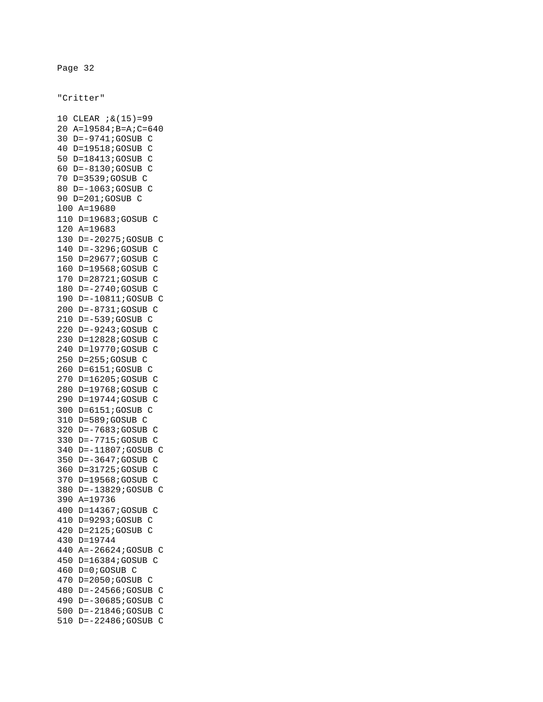"Critter"

10 CLEAR ;&(15)=99 20 A=l9584;B=A;C=640 30 D=-9741;GOSUB C 40 D=19518;GOSUB C 50 D=18413;GOSUB C 60 D=-8130;GOSUB C 70 D=3539;GOSUB C 80 D=-1063;GOSUB C 90 D=201;GOSUB C l00 A=19680 110 D=19683;GOSUB C 120 A=19683 130 D=-20275;GOSUB C 140 D=-3296;GOSUB C 150 D=29677;GOSUB C 160 D=19568;GOSUB C 170 D=28721;GOSUB C 180 D=-2740;GOSUB C 190 D=-10811;GOSUB C 200 D=-8731;GOSUB C 210 D=-539;GOSUB C 220 D=-9243;GOSUB C 230 D=12828;GOSUB C 240 D=l9770;GOSUB C 250 D=255;GOSUB C 260 D=6151;GOSUB C 270 D=16205;GOSUB C 280 D=19768;GOSUB C 290 D=19744;GOSUB C 300 D=6151;GOSUB C 310 D=589;GOSUB C 320 D=-7683;GOSUB C 330 D=-7715;GOSUB C 340 D=-11807;GOSUB C 350 D=-3647;GOSUB C 360 D=31725;GOSUB C 370 D=19568;GOSUB C 380 D=-13829;GOSUB C 390 A=19736 400 D=14367;GOSUB C 410 D=9293;GOSUB C 420 D=2125;GOSUB C 430 D=19744 440 A=-26624;GOSUB C 450 D=16384;GOSUB C 460 D=0;GOSUB C 470 D=2050;GOSUB C 480 D=-24566;GOSUB C 490 D=-30685;GOSUB C 500 D=-21846;GOSUB C 510 D=-22486;GOSUB C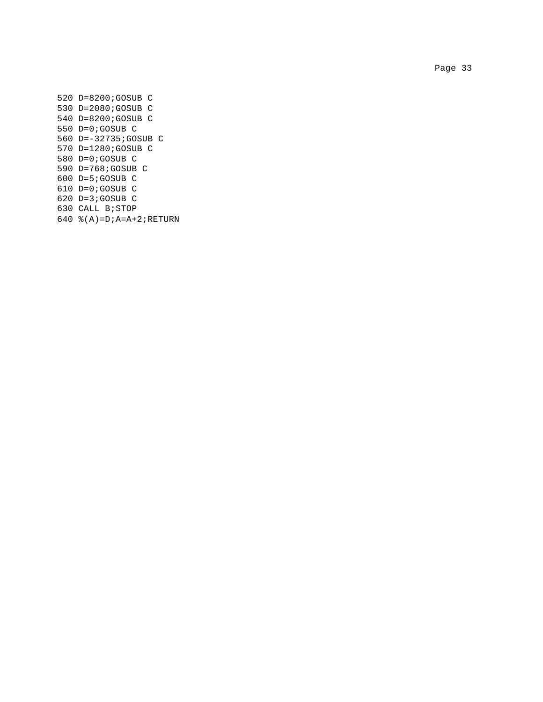Page 33 and the state of the state of the state of the state of the state of the state of the state of the state of the state of the state of the state of the state of the state of the state of the state of the state of th

520 D=8200;GOSUB C 530 D=2080;GOSUB C 540 D=8200;GOSUB C 550 D=0;GOSUB C 560 D=-32735;GOSUB C 570 D=1280;GOSUB C 580 D=0;GOSUB C 590 D=768;GOSUB C 600 D=5;GOSUB C 610 D=0;GOSUB C 620 D=3;GOSUB C 630 CALL B;STOP 640 %(A)=D;A=A+2;RETURN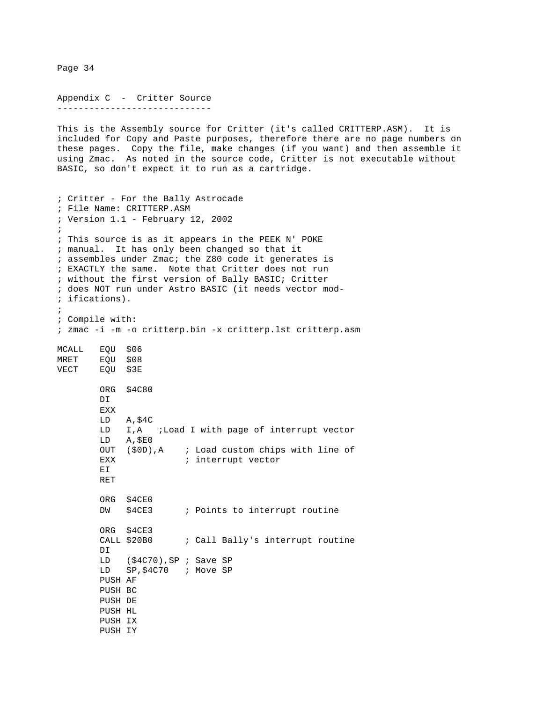Appendix C - Critter Source ----------------------------- This is the Assembly source for Critter (it's called CRITTERP.ASM). It is included for Copy and Paste purposes, therefore there are no page numbers on these pages. Copy the file, make changes (if you want) and then assemble it using Zmac. As noted in the source code, Critter is not executable without BASIC, so don't expect it to run as a cartridge. ; Critter - For the Bally Astrocade ; File Name: CRITTERP.ASM ; Version 1.1 - February 12, 2002 ; ; This source is as it appears in the PEEK N' POKE ; manual. It has only been changed so that it ; assembles under Zmac; the Z80 code it generates is ; EXACTLY the same. Note that Critter does not run ; without the first version of Bally BASIC; Critter ; does NOT run under Astro BASIC (it needs vector mod- ; ifications). ; ; Compile with: ; zmac -i -m -o critterp.bin -x critterp.lst critterp.asm MCALL EQU \$06 MRET EQU \$08 VECT EQU \$3E ORG \$4C80 DI EXX LD A,\$4C LD I,A ;Load I with page of interrupt vector LD A,\$E0 OUT (\$0D),A ; Load custom chips with line of EXX  $\qquad \qquad ;\text{ interrupt vector}$  EI RET ORG \$4CE0 DW \$4CE3 ; Points to interrupt routine ORG \$4CE3 CALL \$20B0 ; Call Bally's interrupt routine DI LD (\$4C70),SP ; Save SP LD SP,\$4C70 ; Move SP PUSH AF PUSH BC PUSH DE PUSH HL PUSH IX PUSH IY

Page 34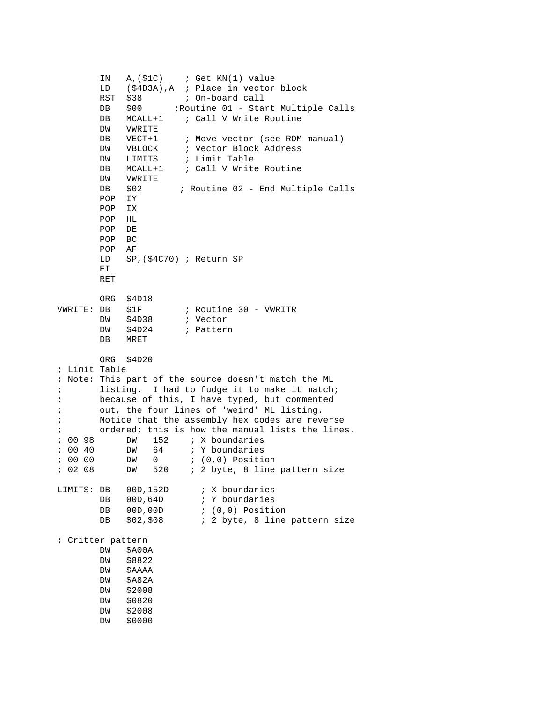IN A,(\$1C) ; Get KN(1) value LD (\$4D3A), A ; Place in vector block<br>RST \$38 ; On-board call RST \$38 ; On-board call DB \$00 ;Routine 01 - Start Multiple Calls DB MCALL+1 ; Call V Write Routine DW VWRITE DB VECT+1 ; Move vector (see ROM manual) DW VBLOCK ; Vector Block Address DW LIMITS ; Limit Table<br>DB MCALL+1 ; Call VWrite DB MCALL+1 ; Call V Write Routine DW VWRITE DB \$02 ; Routine 02 - End Multiple Calls POP IY POP IX POP HL POP DE POP BC POP AF LD SP,(\$4C70) ; Return SP EI RET ORG \$4D18 VWRITE: DB \$1F ; Routine 30 - VWRITR DB \$1P / ROULLINE DW \$4D24 ; Pattern DB MRET ORG \$4D20 ; Limit Table ; Note: This part of the source doesn't match the ML ; listing. I had to fudge it to make it match; ; because of this, I have typed, but commented ; out, the four lines of 'weird' ML listing. ; Notice that the assembly hex codes are reverse ; ordered; this is how the manual lists the lines. ; 00 98 DW 152 ; X boundaries ; 00 40 DW 64 ; Y boundaries ; 00 00 DW 0 ; (0,0) Position ; 02 08 DW 520 ; 2 byte, 8 line pattern size LIMITS: DB 00D,152D ; X boundaries DB 00D,64D ; Y boundaries DB 00D,00D ; (0,0) Position DB  $$02, $08$  ; 2 byte, 8 line pattern size ; Critter pattern DW \$A00A DW \$8822 DW \$AAAA DW \$A82A DW \$2008 DW \$0820 DW \$2008 DW \$0000